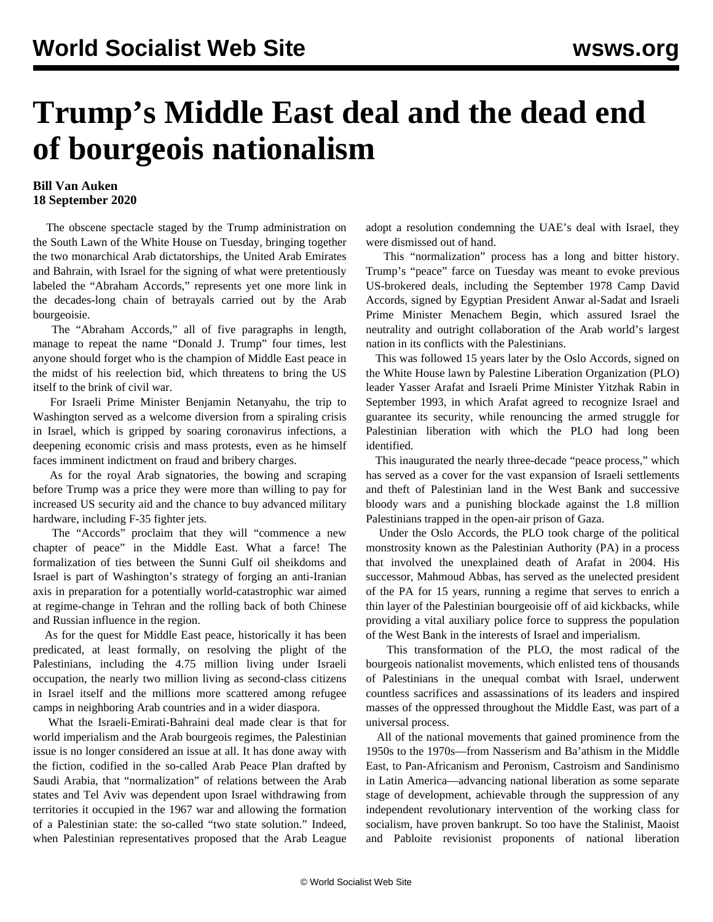## **Trump's Middle East deal and the dead end of bourgeois nationalism**

## **Bill Van Auken 18 September 2020**

 The obscene spectacle staged by the Trump administration on the South Lawn of the White House on Tuesday, bringing together the two monarchical Arab dictatorships, the United Arab Emirates and Bahrain, with Israel for the signing of what were pretentiously labeled the "Abraham Accords," represents yet one more link in the decades-long chain of betrayals carried out by the Arab bourgeoisie.

 The "Abraham Accords," all of five paragraphs in length, manage to repeat the name "Donald J. Trump" four times, lest anyone should forget who is the champion of Middle East peace in the midst of his reelection bid, which threatens to bring the US itself to the brink of civil war.

 For Israeli Prime Minister Benjamin Netanyahu, the trip to Washington served as a welcome diversion from a spiraling crisis in Israel, which is gripped by soaring coronavirus infections, a deepening economic crisis and mass protests, even as he himself faces imminent indictment on fraud and bribery charges.

 As for the royal Arab signatories, the bowing and scraping before Trump was a price they were more than willing to pay for increased US security aid and the chance to buy advanced military hardware, including F-35 fighter jets.

 The "Accords" proclaim that they will "commence a new chapter of peace" in the Middle East. What a farce! The formalization of ties between the Sunni Gulf oil sheikdoms and Israel is part of Washington's strategy of forging an anti-Iranian axis in preparation for a potentially world-catastrophic war aimed at regime-change in Tehran and the rolling back of both Chinese and Russian influence in the region.

 As for the quest for Middle East peace, historically it has been predicated, at least formally, on resolving the plight of the Palestinians, including the 4.75 million living under Israeli occupation, the nearly two million living as second-class citizens in Israel itself and the millions more scattered among refugee camps in neighboring Arab countries and in a wider diaspora.

 What the Israeli-Emirati-Bahraini deal made clear is that for world imperialism and the Arab bourgeois regimes, the Palestinian issue is no longer considered an issue at all. It has done away with the fiction, codified in the so-called Arab Peace Plan drafted by Saudi Arabia, that "normalization" of relations between the Arab states and Tel Aviv was dependent upon Israel withdrawing from territories it occupied in the 1967 war and allowing the formation of a Palestinian state: the so-called "two state solution." Indeed, when Palestinian representatives proposed that the Arab League

adopt a resolution condemning the UAE's deal with Israel, they were dismissed out of hand.

 This "normalization" process has a long and bitter history. Trump's "peace" farce on Tuesday was meant to evoke previous US-brokered deals, including the September 1978 Camp David Accords, signed by Egyptian President Anwar al-Sadat and Israeli Prime Minister Menachem Begin, which assured Israel the neutrality and outright collaboration of the Arab world's largest nation in its conflicts with the Palestinians.

 This was followed 15 years later by the Oslo Accords, signed on the White House lawn by Palestine Liberation Organization (PLO) leader Yasser Arafat and Israeli Prime Minister Yitzhak Rabin in September 1993, in which Arafat agreed to recognize Israel and guarantee its security, while renouncing the armed struggle for Palestinian liberation with which the PLO had long been identified.

 This inaugurated the nearly three-decade "peace process," which has served as a cover for the vast expansion of Israeli settlements and theft of Palestinian land in the West Bank and successive bloody wars and a punishing blockade against the 1.8 million Palestinians trapped in the open-air prison of Gaza.

 Under the Oslo Accords, the PLO took charge of the political monstrosity known as the Palestinian Authority (PA) in a process that involved the unexplained death of Arafat in 2004. His successor, Mahmoud Abbas, has served as the unelected president of the PA for 15 years, running a regime that serves to enrich a thin layer of the Palestinian bourgeoisie off of aid kickbacks, while providing a vital auxiliary police force to suppress the population of the West Bank in the interests of Israel and imperialism.

 This transformation of the PLO, the most radical of the bourgeois nationalist movements, which enlisted tens of thousands of Palestinians in the unequal combat with Israel, underwent countless sacrifices and assassinations of its leaders and inspired masses of the oppressed throughout the Middle East, was part of a universal process.

 All of the national movements that gained prominence from the 1950s to the 1970s—from Nasserism and Ba'athism in the Middle East, to Pan-Africanism and Peronism, Castroism and Sandinismo in Latin America—advancing national liberation as some separate stage of development, achievable through the suppression of any independent revolutionary intervention of the working class for socialism, have proven bankrupt. So too have the Stalinist, Maoist and Pabloite revisionist proponents of national liberation